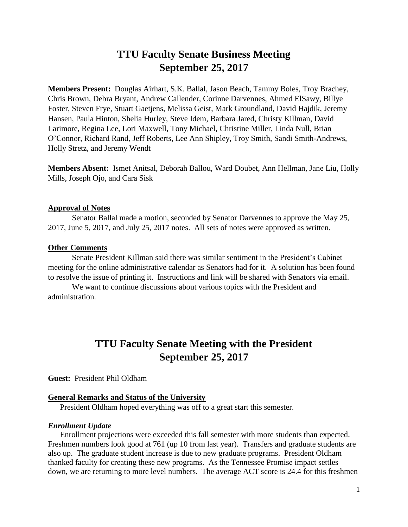# **TTU Faculty Senate Business Meeting September 25, 2017**

**Members Present:** Douglas Airhart, S.K. Ballal, Jason Beach, Tammy Boles, Troy Brachey, Chris Brown, Debra Bryant, Andrew Callender, Corinne Darvennes, Ahmed ElSawy, Billye Foster, Steven Frye, Stuart Gaetjens, Melissa Geist, Mark Groundland, David Hajdik, Jeremy Hansen, Paula Hinton, Shelia Hurley, Steve Idem, Barbara Jared, Christy Killman, David Larimore, Regina Lee, Lori Maxwell, Tony Michael, Christine Miller, Linda Null, Brian O'Connor, Richard Rand, Jeff Roberts, Lee Ann Shipley, Troy Smith, Sandi Smith-Andrews, Holly Stretz, and Jeremy Wendt

**Members Absent:** Ismet Anitsal, Deborah Ballou, Ward Doubet, Ann Hellman, Jane Liu, Holly Mills, Joseph Ojo, and Cara Sisk

### **Approval of Notes**

Senator Ballal made a motion, seconded by Senator Darvennes to approve the May 25, 2017, June 5, 2017, and July 25, 2017 notes. All sets of notes were approved as written.

#### **Other Comments**

Senate President Killman said there was similar sentiment in the President's Cabinet meeting for the online administrative calendar as Senators had for it. A solution has been found to resolve the issue of printing it. Instructions and link will be shared with Senators via email.

We want to continue discussions about various topics with the President and administration.

# **TTU Faculty Senate Meeting with the President September 25, 2017**

**Guest:** President Phil Oldham

## **General Remarks and Status of the University**

President Oldham hoped everything was off to a great start this semester.

#### *Enrollment Update*

Enrollment projections were exceeded this fall semester with more students than expected. Freshmen numbers look good at 761 (up 10 from last year). Transfers and graduate students are also up. The graduate student increase is due to new graduate programs. President Oldham thanked faculty for creating these new programs. As the Tennessee Promise impact settles down, we are returning to more level numbers. The average ACT score is 24.4 for this freshmen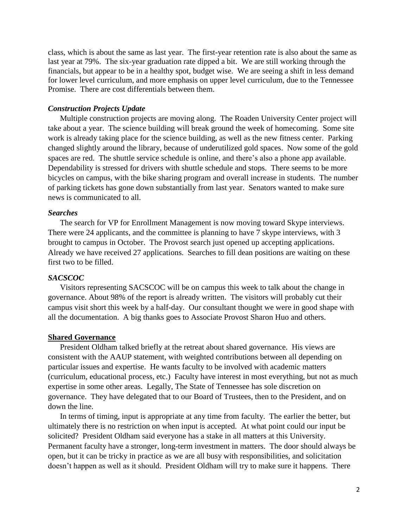class, which is about the same as last year. The first-year retention rate is also about the same as last year at 79%. The six-year graduation rate dipped a bit. We are still working through the financials, but appear to be in a healthy spot, budget wise. We are seeing a shift in less demand for lower level curriculum, and more emphasis on upper level curriculum, due to the Tennessee Promise. There are cost differentials between them.

### *Construction Projects Update*

Multiple construction projects are moving along. The Roaden University Center project will take about a year. The science building will break ground the week of homecoming. Some site work is already taking place for the science building, as well as the new fitness center. Parking changed slightly around the library, because of underutilized gold spaces. Now some of the gold spaces are red. The shuttle service schedule is online, and there's also a phone app available. Dependability is stressed for drivers with shuttle schedule and stops. There seems to be more bicycles on campus, with the bike sharing program and overall increase in students. The number of parking tickets has gone down substantially from last year. Senators wanted to make sure news is communicated to all.

#### *Searches*

The search for VP for Enrollment Management is now moving toward Skype interviews. There were 24 applicants, and the committee is planning to have 7 skype interviews, with 3 brought to campus in October. The Provost search just opened up accepting applications. Already we have received 27 applications. Searches to fill dean positions are waiting on these first two to be filled.

### *SACSCOC*

Visitors representing SACSCOC will be on campus this week to talk about the change in governance. About 98% of the report is already written. The visitors will probably cut their campus visit short this week by a half-day. Our consultant thought we were in good shape with all the documentation. A big thanks goes to Associate Provost Sharon Huo and others.

#### **Shared Governance**

President Oldham talked briefly at the retreat about shared governance. His views are consistent with the AAUP statement, with weighted contributions between all depending on particular issues and expertise. He wants faculty to be involved with academic matters (curriculum, educational process, etc.) Faculty have interest in most everything, but not as much expertise in some other areas. Legally, The State of Tennessee has sole discretion on governance. They have delegated that to our Board of Trustees, then to the President, and on down the line.

In terms of timing, input is appropriate at any time from faculty. The earlier the better, but ultimately there is no restriction on when input is accepted. At what point could our input be solicited? President Oldham said everyone has a stake in all matters at this University. Permanent faculty have a stronger, long-term investment in matters. The door should always be open, but it can be tricky in practice as we are all busy with responsibilities, and solicitation doesn't happen as well as it should. President Oldham will try to make sure it happens. There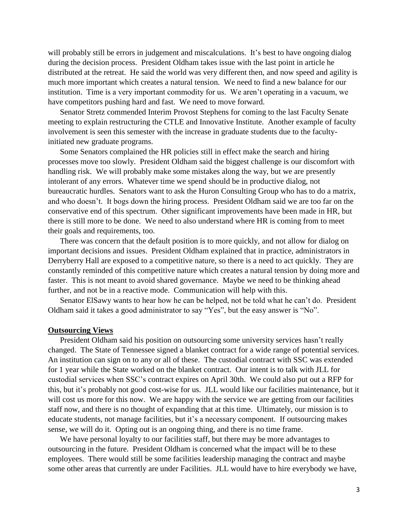will probably still be errors in judgement and miscalculations. It's best to have ongoing dialog during the decision process. President Oldham takes issue with the last point in article he distributed at the retreat. He said the world was very different then, and now speed and agility is much more important which creates a natural tension. We need to find a new balance for our institution. Time is a very important commodity for us. We aren't operating in a vacuum, we have competitors pushing hard and fast. We need to move forward.

Senator Stretz commended Interim Provost Stephens for coming to the last Faculty Senate meeting to explain restructuring the CTLE and Innovative Institute. Another example of faculty involvement is seen this semester with the increase in graduate students due to the facultyinitiated new graduate programs.

Some Senators complained the HR policies still in effect make the search and hiring processes move too slowly. President Oldham said the biggest challenge is our discomfort with handling risk. We will probably make some mistakes along the way, but we are presently intolerant of any errors. Whatever time we spend should be in productive dialog, not bureaucratic hurdles. Senators want to ask the Huron Consulting Group who has to do a matrix, and who doesn't. It bogs down the hiring process. President Oldham said we are too far on the conservative end of this spectrum. Other significant improvements have been made in HR, but there is still more to be done. We need to also understand where HR is coming from to meet their goals and requirements, too.

There was concern that the default position is to more quickly, and not allow for dialog on important decisions and issues. President Oldham explained that in practice, administrators in Derryberry Hall are exposed to a competitive nature, so there is a need to act quickly. They are constantly reminded of this competitive nature which creates a natural tension by doing more and faster. This is not meant to avoid shared governance. Maybe we need to be thinking ahead further, and not be in a reactive mode. Communication will help with this.

Senator ElSawy wants to hear how he can be helped, not be told what he can't do. President Oldham said it takes a good administrator to say "Yes", but the easy answer is "No".

## **Outsourcing Views**

President Oldham said his position on outsourcing some university services hasn't really changed. The State of Tennessee signed a blanket contract for a wide range of potential services. An institution can sign on to any or all of these. The custodial contract with SSC was extended for 1 year while the State worked on the blanket contract. Our intent is to talk with JLL for custodial services when SSC's contract expires on April 30th. We could also put out a RFP for this, but it's probably not good cost-wise for us. JLL would like our facilities maintenance, but it will cost us more for this now. We are happy with the service we are getting from our facilities staff now, and there is no thought of expanding that at this time. Ultimately, our mission is to educate students, not manage facilities, but it's a necessary component. If outsourcing makes sense, we will do it. Opting out is an ongoing thing, and there is no time frame.

We have personal loyalty to our facilities staff, but there may be more advantages to outsourcing in the future. President Oldham is concerned what the impact will be to these employees. There would still be some facilities leadership managing the contract and maybe some other areas that currently are under Facilities. JLL would have to hire everybody we have,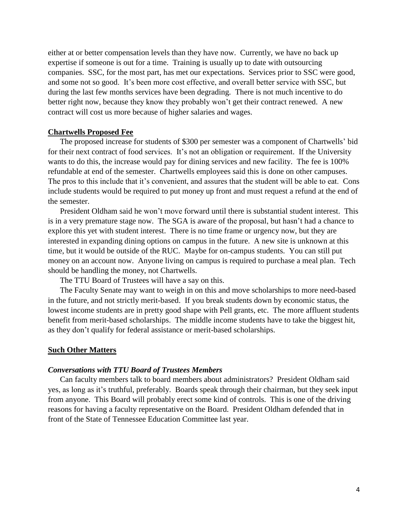either at or better compensation levels than they have now. Currently, we have no back up expertise if someone is out for a time. Training is usually up to date with outsourcing companies. SSC, for the most part, has met our expectations. Services prior to SSC were good, and some not so good. It's been more cost effective, and overall better service with SSC, but during the last few months services have been degrading. There is not much incentive to do better right now, because they know they probably won't get their contract renewed. A new contract will cost us more because of higher salaries and wages.

#### **Chartwells Proposed Fee**

The proposed increase for students of \$300 per semester was a component of Chartwells' bid for their next contract of food services. It's not an obligation or requirement. If the University wants to do this, the increase would pay for dining services and new facility. The fee is 100% refundable at end of the semester. Chartwells employees said this is done on other campuses. The pros to this include that it's convenient, and assures that the student will be able to eat. Cons include students would be required to put money up front and must request a refund at the end of the semester.

President Oldham said he won't move forward until there is substantial student interest. This is in a very premature stage now. The SGA is aware of the proposal, but hasn't had a chance to explore this yet with student interest. There is no time frame or urgency now, but they are interested in expanding dining options on campus in the future. A new site is unknown at this time, but it would be outside of the RUC. Maybe for on-campus students. You can still put money on an account now. Anyone living on campus is required to purchase a meal plan. Tech should be handling the money, not Chartwells.

The TTU Board of Trustees will have a say on this.

The Faculty Senate may want to weigh in on this and move scholarships to more need-based in the future, and not strictly merit-based. If you break students down by economic status, the lowest income students are in pretty good shape with Pell grants, etc. The more affluent students benefit from merit-based scholarships. The middle income students have to take the biggest hit, as they don't qualify for federal assistance or merit-based scholarships.

#### **Such Other Matters**

#### *Conversations with TTU Board of Trustees Members*

Can faculty members talk to board members about administrators? President Oldham said yes, as long as it's truthful, preferably. Boards speak through their chairman, but they seek input from anyone. This Board will probably erect some kind of controls. This is one of the driving reasons for having a faculty representative on the Board. President Oldham defended that in front of the State of Tennessee Education Committee last year.